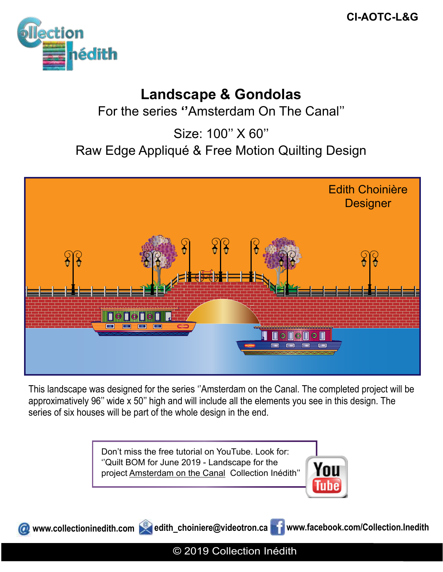

### **Landscape & Gondolas**

For the series **''**Amsterdam On The Canal''

Size: 100'' X 60'' Raw Edge Appliqué & Free Motion Quilting Design



This landscape was designed for the series ''Amsterdam on the Canal. The completed project will be approximatively 96'' wide x 50'' high and will include all the elements you see in this design. The series of six houses will be part of the whole design in the end.

> Don't miss the free tutorial on YouTube. Look for: ''Quilt BOM for June 2019 - Landscape for the project Amsterdam on the Canal Collection Inédith''







**@** www.collectioninedith.com edith\_choiniere@videotron.ca www.facebook.com/Collection.Inedith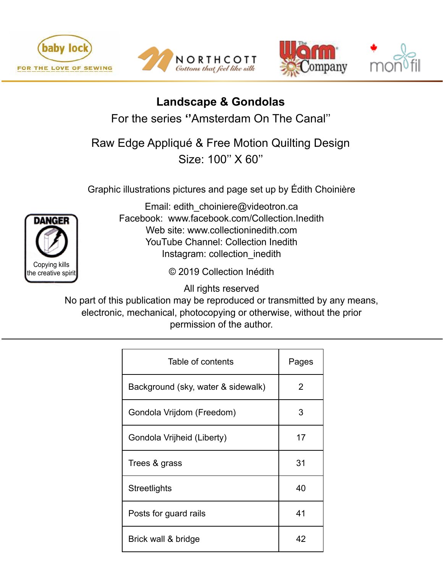







### **Landscape & Gondolas**

For the series **''**Amsterdam On The Canal''

Raw Edge Appliqué & Free Motion Quilting Design Size: 100'' X 60''

Graphic illustrations pictures and page set up by Édith Choinière



Email: edith\_choiniere@videotron.ca Facebook: www.facebook.com/Collection.Inedith Web site: www.collectioninedith.com YouTube Channel: Collection Inedith Instagram: collection\_inedith

© 2019 Collection Inédith

All rights reserved

No part of this publication may be reproduced or transmitted by any means, electronic, mechanical, photocopying or otherwise, without the prior permission of the author.

| Table of contents                  | Pages |
|------------------------------------|-------|
| Background (sky, water & sidewalk) | 2     |
| Gondola Vrijdom (Freedom)          | 3     |
| Gondola Vrijheid (Liberty)         | 17    |
| Trees & grass                      | 31    |
| <b>Streetlights</b>                | 40    |
| Posts for guard rails              | 41    |
| Brick wall & bridge                | 42    |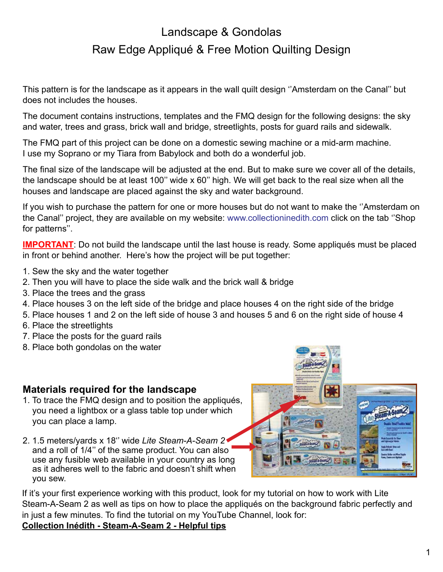### Landscape & Gondolas Raw Edge Appliqué & Free Motion Quilting Design

This pattern is for the landscape as it appears in the wall quilt design ''Amsterdam on the Canal'' but does not includes the houses.

The document contains instructions, templates and the FMQ design for the following designs: the sky and water, trees and grass, brick wall and bridge, streetlights, posts for guard rails and sidewalk.

The FMQ part of this project can be done on a domestic sewing machine or a mid-arm machine. I use my Soprano or my Tiara from Babylock and both do a wonderful job.

The final size of the landscape will be adjusted at the end. But to make sure we cover all of the details, the landscape should be at least 100'' wide x 60'' high. We will get back to the real size when all the houses and landscape are placed against the sky and water background.

If you wish to purchase the pattern for one or more houses but do not want to make the ''Amsterdam on the Canal'' project, they are available on my website: www.collectioninedith.com click on the tab ''Shop for patterns''.

**IMPORTANT**: Do not build the landscape until the last house is ready. Some appliqués must be placed in front or behind another. Here's how the project will be put together:

- 1. Sew the sky and the water together
- 2. Then you will have to place the side walk and the brick wall & bridge
- 3. Place the trees and the grass
- 4. Place houses 3 on the left side of the bridge and place houses 4 on the right side of the bridge
- 5. Place houses 1 and 2 on the left side of house 3 and houses 5 and 6 on the right side of house 4
- 6. Place the streetlights
- 7. Place the posts for the guard rails
- 8. Place both gondolas on the water

#### **Materials required for the landscape**

- 1. To trace the FMQ design and to position the appliqués, you need a lightbox or a glass table top under which you can place a lamp.
- 2. 1.5 meters/yards x 18'' wide *Lite Steam-A-Seam 2* and a roll of 1/4'' of the same product. You can also use any fusible web available in your country as long as it adheres well to the fabric and doesn't shift when you sew.



If it's your first experience working with this product, look for my tutorial on how to work with Lite Steam-A-Seam 2 as well as tips on how to place the appliqués on the background fabric perfectly and in just a few minutes. To find the tutorial on my YouTube Channel, look for:

**Collection Inédith - Steam-A-Seam 2 - Helpful tips**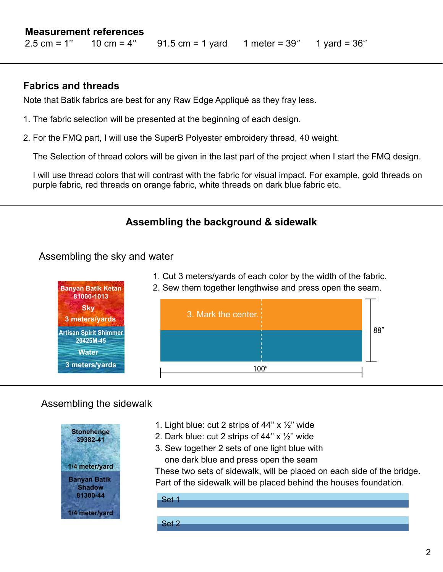### **Fabrics and threads**

Note that Batik fabrics are best for any Raw Edge Appliqué as they fray less.

- 1. The fabric selection will be presented at the beginning of each design.
- 2. For the FMQ part, I will use the SuperB Polyester embroidery thread, 40 weight.

The Selection of thread colors will be given in the last part of the project when I start the FMQ design.

 I will use thread colors that will contrast with the fabric for visual impact. For example, gold threads on purple fabric, red threads on orange fabric, white threads on dark blue fabric etc.

### **Assembling the background & sidewalk**

Assembling the sky and water

- 1. Cut 3 meters/yards of each color by the width of the fabric.
- **Banyan Batik Ketan** 2. Sew them together lengthwise and press open the seam.



### Assembling the sidewalk



- 1. Light blue: cut 2 strips of 44"  $x \frac{1}{2}$ " wide
- 2. Dark blue: cut 2 strips of  $44"$  x  $\frac{1}{2}$ " wide
- 3. Sew together 2 sets of one light blue with one dark blue and press open the seam

These two sets of sidewalk, will be placed on each side of the bridge. Part of the sidewalk will be placed behind the houses foundation.

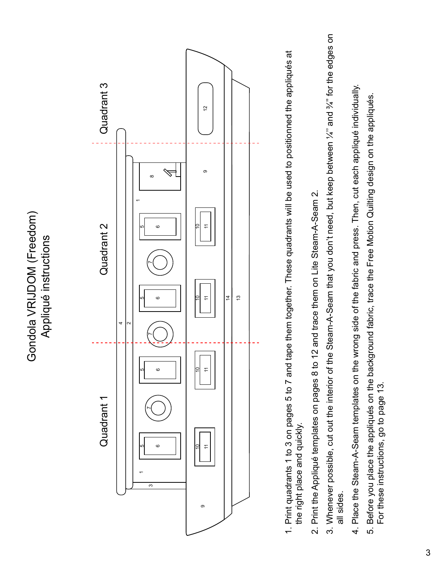Gondola VRIJDOM (Freedom) Gondola VRIJDOM (Freedom) Appliqué instructions Appliqué instructions



- 1. Print quadrants 1 to 3 on pages 5 to 7 and tape them together. These quadrants will be used to positionned the appliqués at 1. Print quadrants 1 to 3 on pages 5 to 7 and tape them together. These quadrants will be used to positionned the appliqués at the right place and quickly. the right place and quickly.
- 2. Print the Appliqué templates on pages 8 to 12 and trace them on Lite Steam-A-Seam 2. 2. Print the Appliqué templates on pages 8 to 12 and trace them on Lite Steam-A-Seam 2.
- 3. Whenever possible, cut out the interior of the Steam-A-Seam that you don't need, but keep between '/4" and 3/4" for the edges on 3. Whenever possible, cut out the interior of the Steam-A-Seam that you don't need, but keep between ¼'' and ¾'' for the edges on all sides. all sides.
- 4. Place the Steam-A-Seam templates on the wrong side of the fabric and press. Then, cut each appliqué individually. 4. Place the Steam-A-Seam templates on the wrong side of the fabric and press. Then, cut each appliqué individually.
- 5. Before you place the appliqués on the background fabric, trace the Free Motion Quilting design on the appliqués. 5. Before you place the appliqués on the background fabric, trace the Free Motion Quilting design on the appliqués. For these instructions, go to page 13. For these instructions, go to page 13.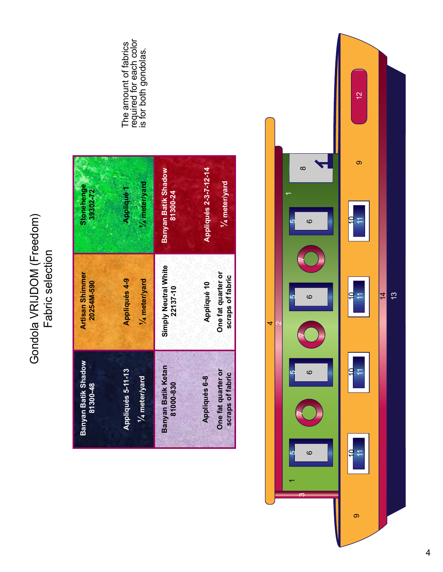Gondola VRIJDOM (Freedom)<br>Fabric selection Gondola VRIJDOM (Freedom) Fabric selection

| <b>Stonehenge</b><br>39302-72   | 1/4 meter/yard<br>Appliqué 1           | <b>Banyan Batik Shadow</b><br>81300-24 | Appliqués 2-3-7-12-14<br>1/4 meter/vard                 |
|---------------------------------|----------------------------------------|----------------------------------------|---------------------------------------------------------|
| Artisan Shimmer<br>20254M-590   | 1/4 meter/yard<br><b>Appliqués 4-9</b> | Simply Neutral White<br>22137-10       | One fat quarter or<br>scraps of fabric<br>Appliqué 10   |
| Banyan Batik Shadow<br>81300-48 | Appliqués 5-11-13<br>1/4 meter/yard    | Banyan Batik Ketan<br>81000-830        | One fat quarter or<br>scraps of fabric<br>Appliqués 6-8 |



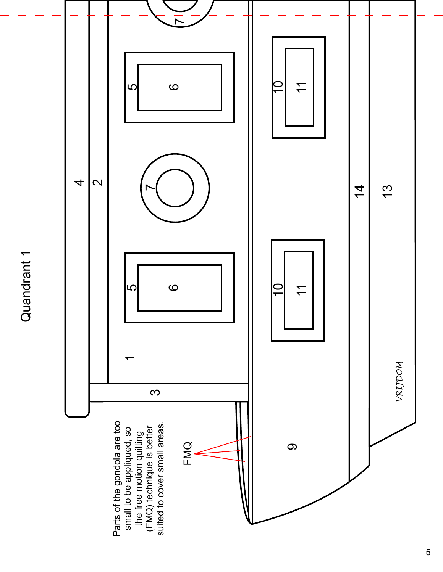## Quandrant 1 Quandrant 1

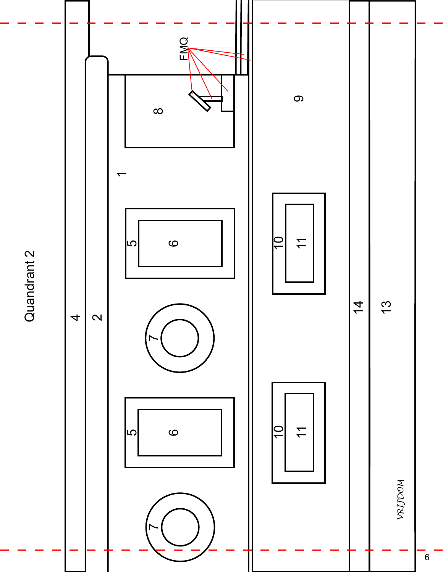

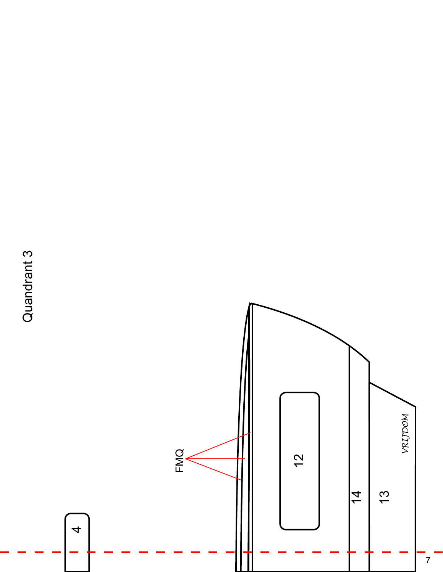# Quandrant 3

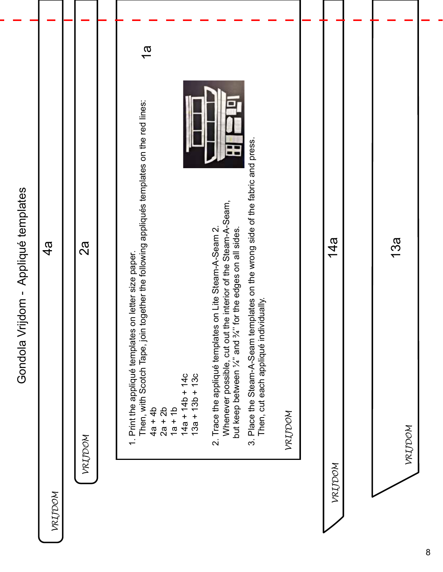# Gondola Vrijdom - Appliqué templates Gondola Vrijdom - Appliqué templates

| 8<br>2a |         | Then, with Scotch Tape, join together the following appliqués templates on the red lines:<br>1. Print the appliqué templates on letter size paper.<br>$4a + 4b$<br>$2a + 2b$ | $14a + 14b + 14c$<br>$13a + 13b + 13c$<br>$1a + 1b$ | 3. Place the Steam-A-Seam templates on the wrong side of the fabric and press.<br>Whenever possible, cut out the interior of the Steam-A-Seam,<br>2. Trace the appliqué templates on Lite Steam-A-Seam 2.<br>but keep between '/4" and '/4" for the edges on all sides.<br>Then, cut each appliqué individually. | NRITDOM | 14a    | 13a<br>VRIJDOM |
|---------|---------|------------------------------------------------------------------------------------------------------------------------------------------------------------------------------|-----------------------------------------------------|------------------------------------------------------------------------------------------------------------------------------------------------------------------------------------------------------------------------------------------------------------------------------------------------------------------|---------|--------|----------------|
|         |         |                                                                                                                                                                              |                                                     |                                                                                                                                                                                                                                                                                                                  |         | VRIDOM |                |
|         | VRIJDOM |                                                                                                                                                                              |                                                     |                                                                                                                                                                                                                                                                                                                  |         |        |                |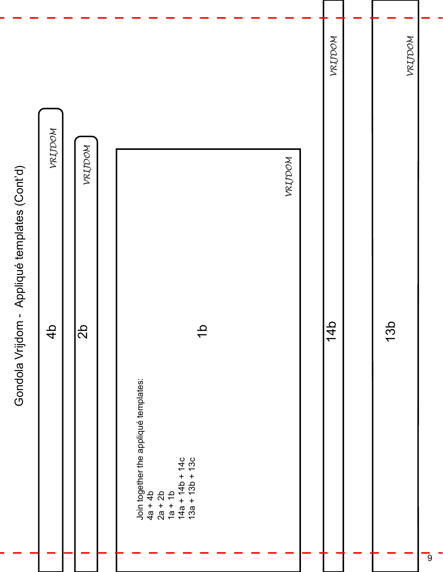|                                               |               |         |                                                                                                                                              | VRIJDOM         | VRIJDOM    |                |
|-----------------------------------------------|---------------|---------|----------------------------------------------------------------------------------------------------------------------------------------------|-----------------|------------|----------------|
| Gondola Vrijdom - Appliqué templates (Cont'd) | VRIJDOM       | VRIJDOM | VRIJDOM                                                                                                                                      |                 |            |                |
|                                               | $\frac{1}{4}$ | ds      | $\frac{1}{\sqrt{2}}$<br>Join together the appliqué templates:<br>$14a + 14b + 14c$<br>$13a + 13b + 13c$<br>$4a + 4b$<br>2a + 2b<br>$1a + 1b$ | 14 <sub>b</sub> | <b>13b</b> |                |
|                                               |               |         |                                                                                                                                              |                 |            | $\overline{9}$ |

 $\overline{\phantom{a}}$ 

 $\overline{\phantom{a}}$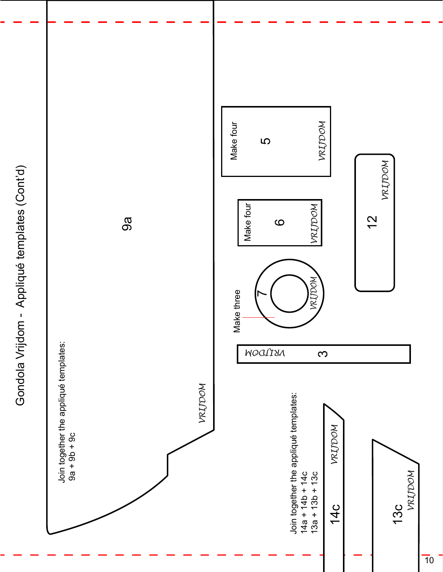

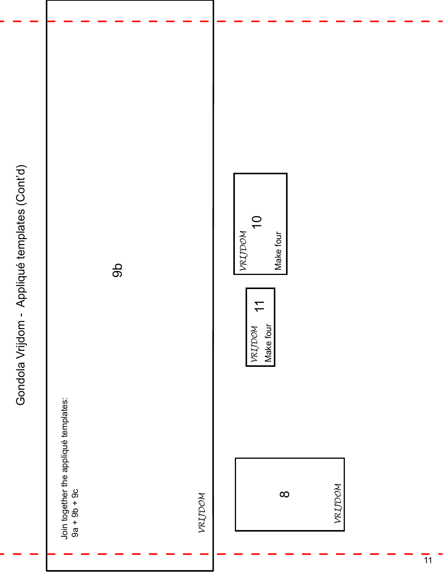|                                                       | do |         | $\overline{0}$<br>NOOLIN<br>Make four<br>$\overline{\mathbf{r}}$<br>NETTOOM<br>Make four |
|-------------------------------------------------------|----|---------|------------------------------------------------------------------------------------------|
| Join together the appliqué templates:<br>9a + 9b + 9c |    | VRIJDOM | VRIJDOM<br>$\infty$                                                                      |

٦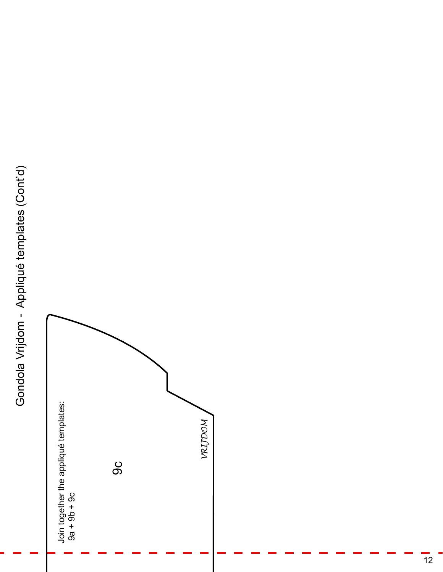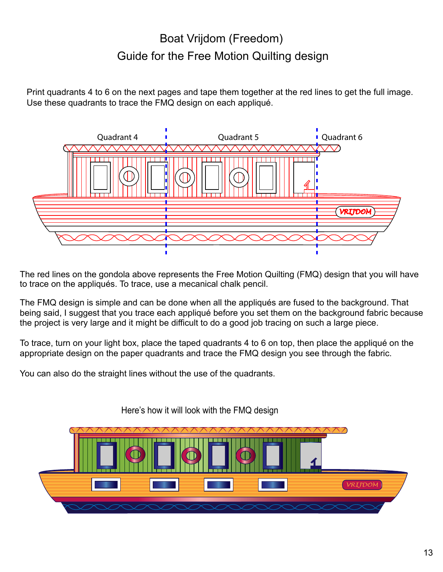### Boat Vrijdom (Freedom) Guide for the Free Motion Quilting design

Print quadrants 4 to 6 on the next pages and tape them together at the red lines to get the full image. Use these quadrants to trace the FMQ design on each appliqué.



The red lines on the gondola above represents the Free Motion Quilting (FMQ) design that you will have to trace on the appliqués. To trace, use a mecanical chalk pencil.

The FMQ design is simple and can be done when all the appliqués are fused to the background. That being said, I suggest that you trace each appliqué before you set them on the background fabric because the project is very large and it might be difficult to do a good job tracing on such a large piece.

To trace, turn on your light box, place the taped quadrants 4 to 6 on top, then place the appliqué on the appropriate design on the paper quadrants and trace the FMQ design you see through the fabric.

You can also do the straight lines without the use of the quadrants.



Here's how it will look with the FMQ design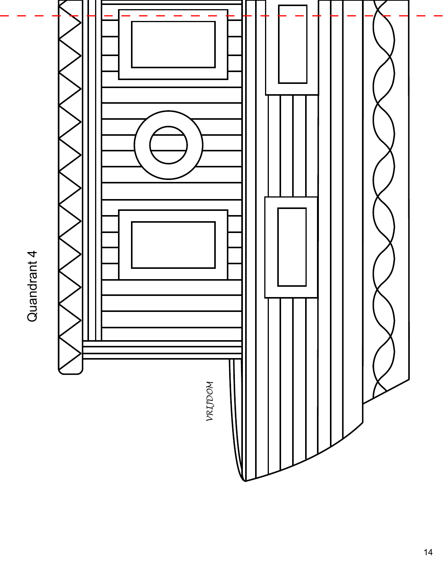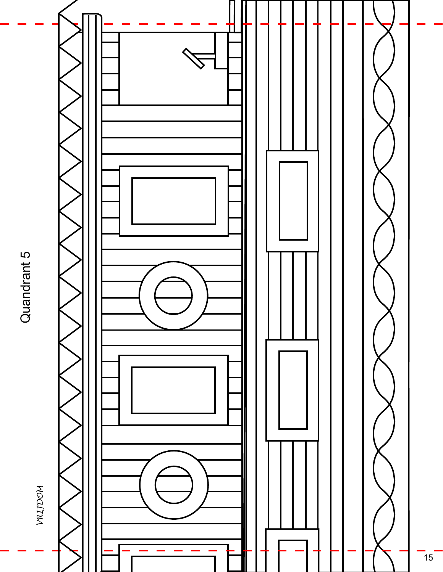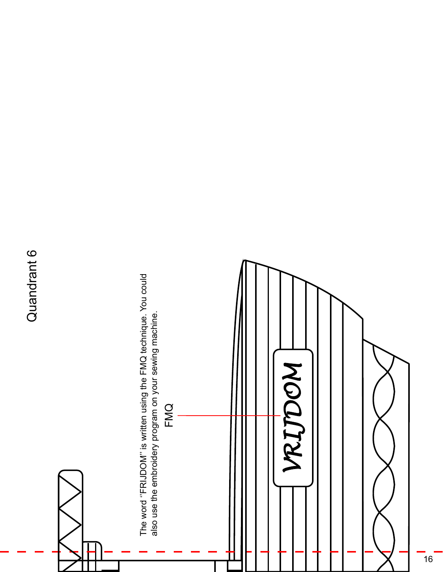## Quandrant 6 Quandrant 6

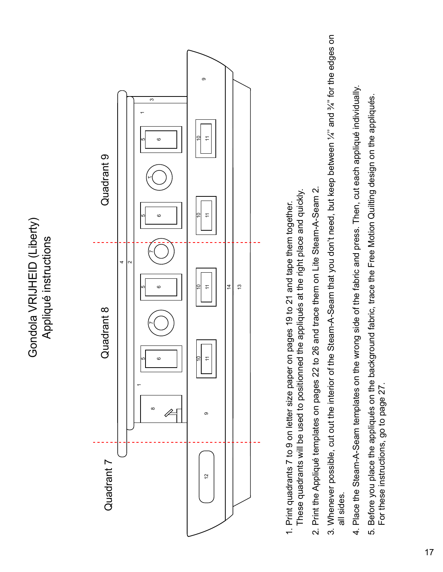Gondola VRIJHEID (Liberty) Gondola VRIJHEID (Liberty) Appliqué instructions Appliqué instructions



- These quadrants will be used to positionned the appliqués at the right place and quickly. These quadrants will be used to positionned the appliqués at the right place and quickly. 1. Print quadrants 7 to 9 on letter size paper on pages 19 to 21 and tape them together. 1. Print quadrants 7 to 9 on letter size paper on pages 19 to 21 and tape them together.
- 2. Print the Appliqué templates on pages 22 to 26 and trace them on Lite Steam-A-Seam 2. 2. Print the Appliqué templates on pages 22 to 26 and trace them on Lite Steam-A-Seam 2.
- 3. Whenever possible, cut out the interior of the Steam-A-Seam that you don't need, but keep between '/4" and 3/4" for the edges on 3. Whenever possible, cut out the interior of the Steam-A-Seam that you don't need, but keep between ¼'' and ¾'' for the edges on all sides. all sides.
- 4. Place the Steam-A-Seam templates on the wrong side of the fabric and press. Then, cut each appliqué individually. 4. Place the Steam-A-Seam templates on the wrong side of the fabric and press. Then, cut each appliqué individually.
- 5. Before you place the appliqués on the background fabric, trace the Free Motion Quilting design on the appliqués. 5. Before you place the appliqués on the background fabric, trace the Free Motion Quilting design on the appliqués.<br>For these instructions, go to page 27. For these instructions, go to page 27.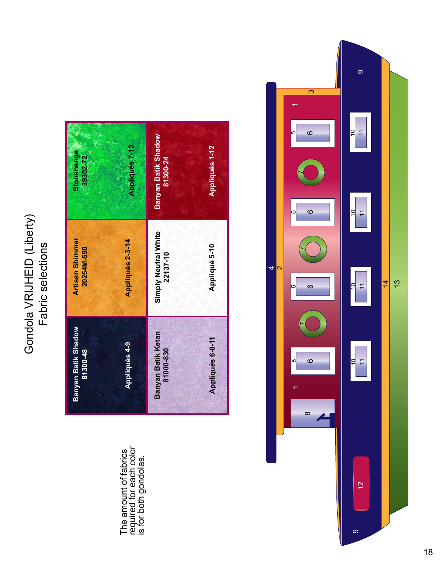## Gondola VRIJHEID (Liberty)<br>Fabric selections Gondola VRIJHEID (Liberty) Fabric selections

| Stonehenge<br>39302-72               | <b>Appliqués 7-13</b> | Banyan Batik Shadow<br>81300-24  | <b>Appliqués 1-12</b> |
|--------------------------------------|-----------------------|----------------------------------|-----------------------|
| <b>Artisan Shimmer</b><br>20254M-590 | Appliqués 2-3-14      | Simply Neutral White<br>22137-10 | Appliqué 5-10         |
| Banyan Batik Shadow<br>81300-48      | Appliqués 4-9         | Banyan Batik Ketan<br>81000-830  | Appliqués 6-8-11      |

The amount of fabrics required for each color is for both gondolas.

The amount of fabrics<br>required for each color<br>is for both gondolas.

4 U  $\overline{\phantom{0}}$ ო  $\overline{\phantom{0}}$  $\infty$  $\sim$  $\overline{\phantom{a}}$ 12 ഗ  $\circ$ Ю  $\circ$ ഗ  $\circ$ ιΩ  $\circ$ ග 10  $\overline{1}$ 우 드 위 17 10  $\overline{1}$ ග  $\frac{4}{1}$ 13 12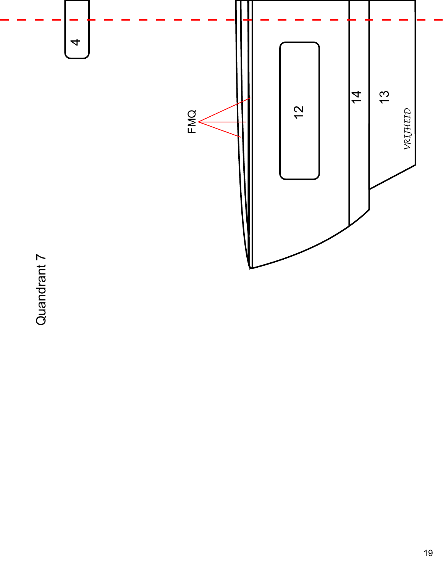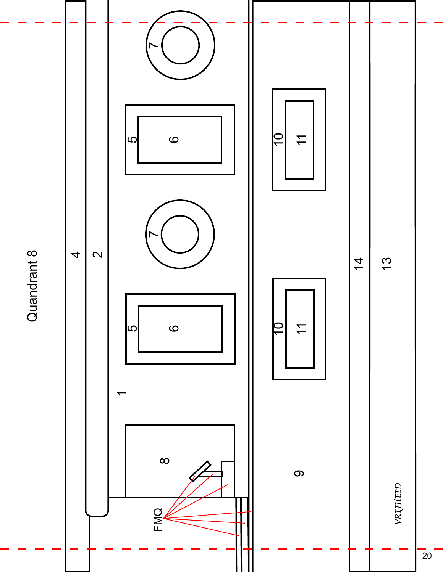

Quandrant 8 Quandrant 8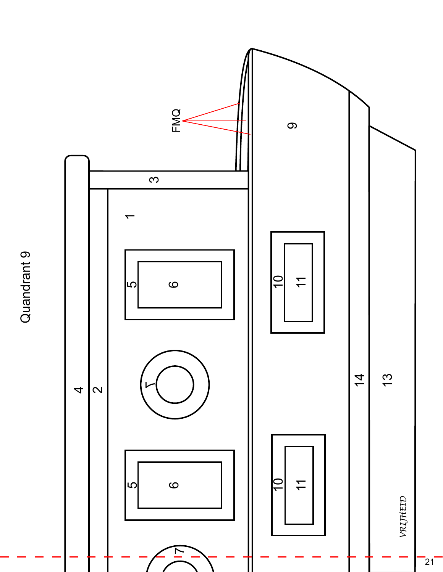



 $\overline{21}$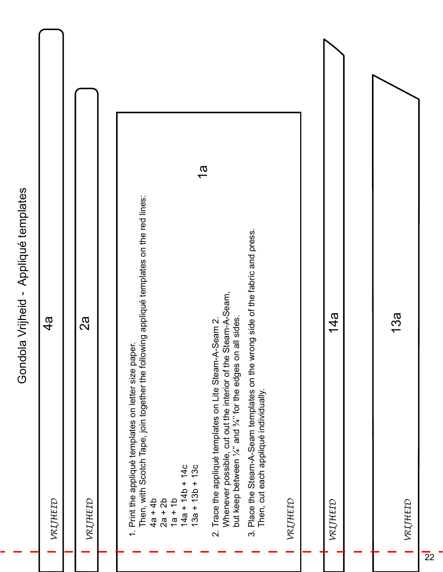| ola Vrijheid - Appliqué templates<br>Gond | 4a<br>VRIJHEID | 8<br>2a<br>VRIJHEID | Then, with Scotch Tape, join together the following appliqué templates on the red lines:<br>1. Print the appliqué templates on letter size paper. | $4a + 4b$<br>$1a + 1b$<br>$2a + 2b$ | $\frac{1}{6}$<br>$14a + 14b + 14c$<br>$13a + 13b + 13c$ | Whenever possible, cut out the interior of the Steam-A-Seam,<br>but keep between $\frac{1}{4}$ and $\frac{3}{4}$ for the edges on all sides.<br>2. Trace the appliqué templates on Lite Steam-A-Seam 2. | 3. Place the Steam-A-Seam templates on the wrong side of the fabric and press.<br>Then, cut each appliqué individually. | VRIJHEID | $\frac{4}{9}$<br>VRIJHEID | 13a<br>VRIJHEID |  |
|-------------------------------------------|----------------|---------------------|---------------------------------------------------------------------------------------------------------------------------------------------------|-------------------------------------|---------------------------------------------------------|---------------------------------------------------------------------------------------------------------------------------------------------------------------------------------------------------------|-------------------------------------------------------------------------------------------------------------------------|----------|---------------------------|-----------------|--|
|                                           |                |                     |                                                                                                                                                   |                                     |                                                         |                                                                                                                                                                                                         |                                                                                                                         |          |                           |                 |  |

 $\overline{22}$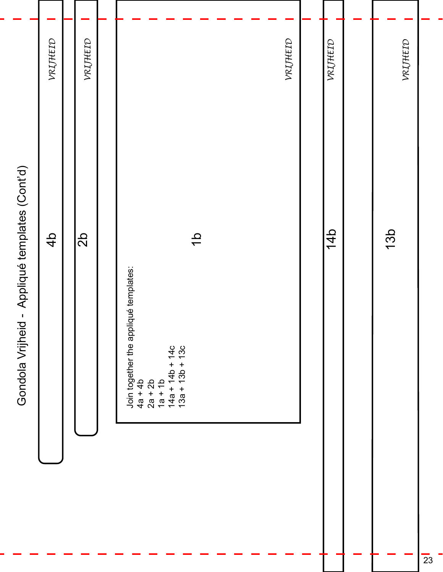| <b>14b</b><br>13b<br>dS<br>$\frac{4}{5}$<br>$\frac{1}{\sqrt{2}}$<br>Join together the appliqué templates:<br>4a + 4b<br>2a + 2b<br>1a + 1b<br>$14a + 14b + 14c$<br>13a + 13b + 13c | VRIJHEID                                       | VRIJHEID |  |  | VRIJHEID | VRIJHEID | VRIJHEID |  |
|------------------------------------------------------------------------------------------------------------------------------------------------------------------------------------|------------------------------------------------|----------|--|--|----------|----------|----------|--|
|                                                                                                                                                                                    | Gondola Vrijheid - Appliqué templates (Cont'd) |          |  |  |          |          |          |  |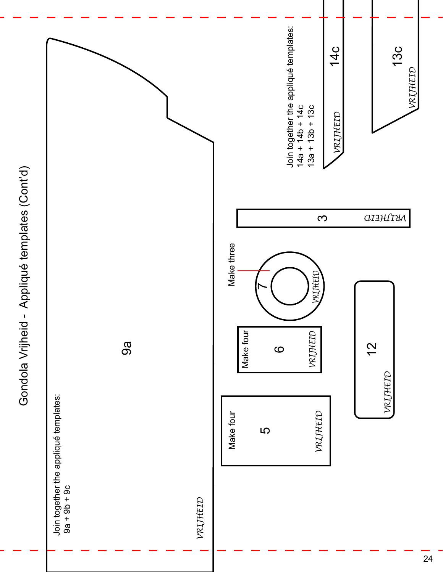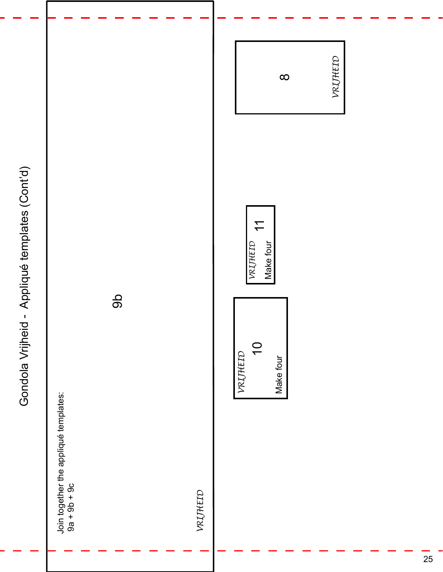| Gondola Vrijheid - Appliqué templates (Cont'd)<br>$\overline{\tau}$<br>Make four<br>VRIJHEID<br>9p<br>$\overline{0}$<br>VRIJHEID<br>Make four<br>Join together the appliqué templates:<br>9a + 9b + 9c<br>VRIJHEID |  |  | $\infty$ | VRIJHEID |
|--------------------------------------------------------------------------------------------------------------------------------------------------------------------------------------------------------------------|--|--|----------|----------|
|                                                                                                                                                                                                                    |  |  |          | 25       |

1

Г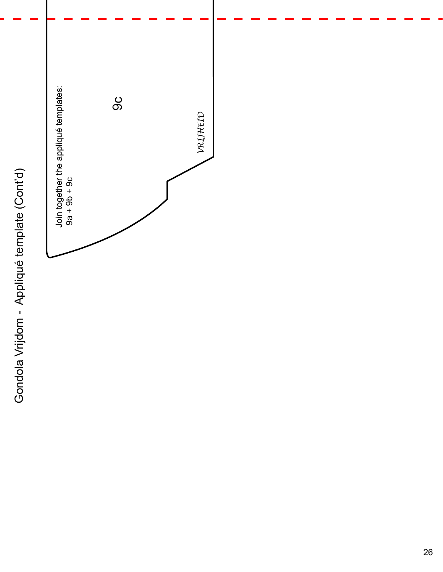Gondola Vrijdom - Appliqué template (Cont'd)

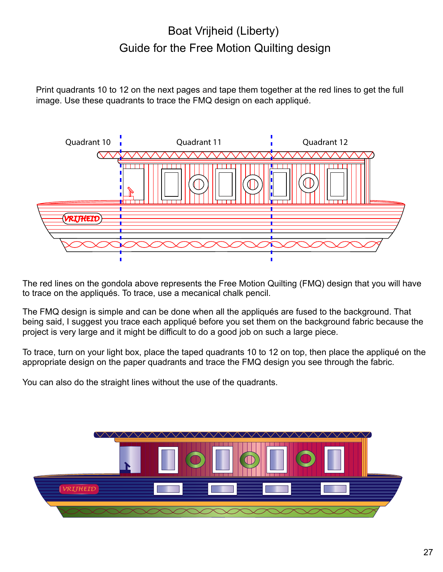### Boat Vrijheid (Liberty) Guide for the Free Motion Quilting design

Print quadrants 10 to 12 on the next pages and tape them together at the red lines to get the full image. Use these quadrants to trace the FMQ design on each appliqué.



The red lines on the gondola above represents the Free Motion Quilting (FMQ) design that you will have to trace on the appliqués. To trace, use a mecanical chalk pencil.

The FMQ design is simple and can be done when all the appliqués are fused to the background. That being said, I suggest you trace each appliqué before you set them on the background fabric because the project is very large and it might be difficult to do a good job on such a large piece.

To trace, turn on your light box, place the taped quadrants 10 to 12 on top, then place the appliqué on the appropriate design on the paper quadrants and trace the FMQ design you see through the fabric.

You can also do the straight lines without the use of the quadrants.

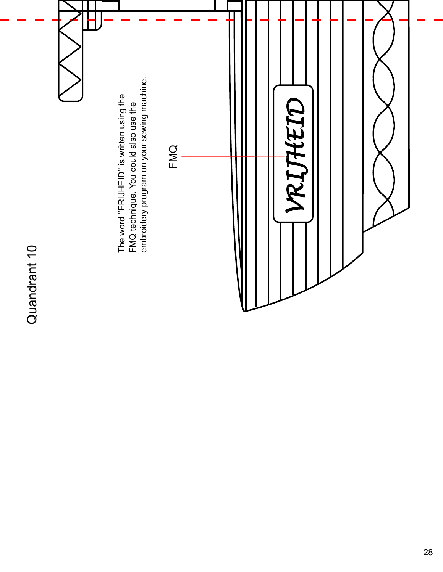

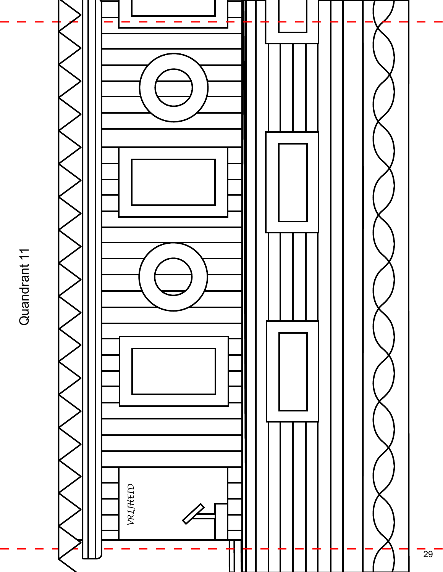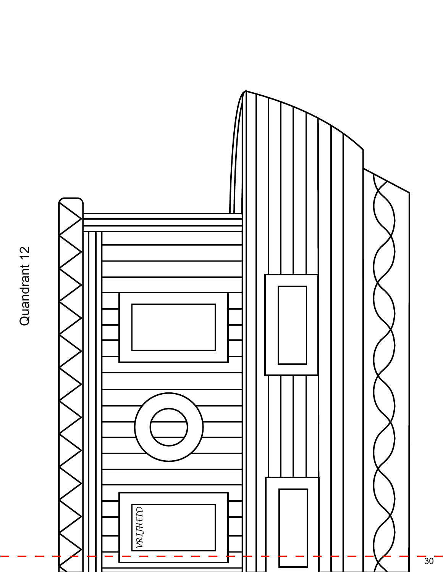Quandrant 12

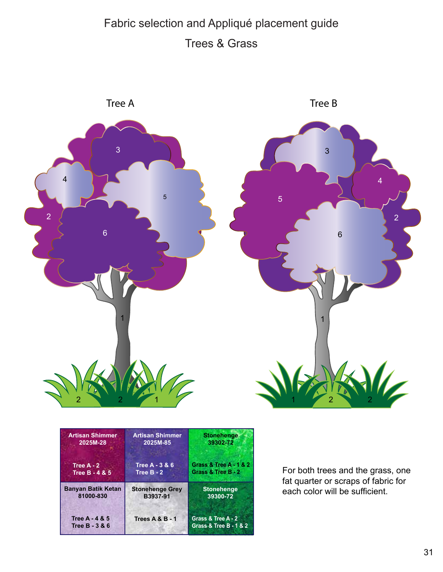### Fabric selection and Appliqué placement guide Trees & Grass



| <b>Artisan Shimmer</b>                                 | <b>Artisan Shimmer</b>    | <b>Stonehenge</b>                            |
|--------------------------------------------------------|---------------------------|----------------------------------------------|
| 2025M-28                                               | 2025M-85                  | 3930272                                      |
| Tree $A - 2$                                           | <b>Tree A - 3 &amp; 6</b> | <b>Grass &amp; Tree A - 1 &amp; 2</b>        |
| <b>Tree B - 4 &amp; 5</b>                              | Tree $B - 2$              | Grass & Tree B - 2                           |
| <b>Banyan Batik Ketan</b>                              | <b>Stonehenge Grey</b>    | <b>Stonehenge</b>                            |
| 81000-830                                              | B3937-91                  | 39300-72                                     |
| <b>Tree A - 4 &amp; 5</b><br><b>Tree B - 3 &amp; 6</b> | Trees A & B - 1           | Grass & Tree A - 2<br>Grass & Tree B - 1 & 2 |

For both trees and the grass, one fat quarter or scraps of fabric for each color will be sufficient.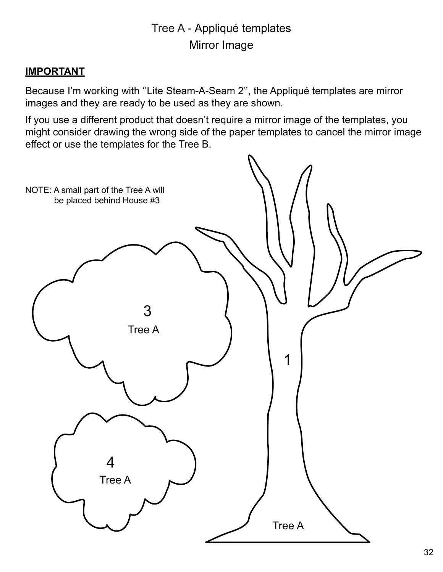### Tree A - Appliqué templates Mirror Image

### **IMPORTANT**

Because I'm working with ''Lite Steam-A-Seam 2'', the Appliqué templates are mirror images and they are ready to be used as they are shown.

If you use a different product that doesn't require a mirror image of the templates, you might consider drawing the wrong side of the paper templates to cancel the mirror image effect or use the templates for the Tree B.

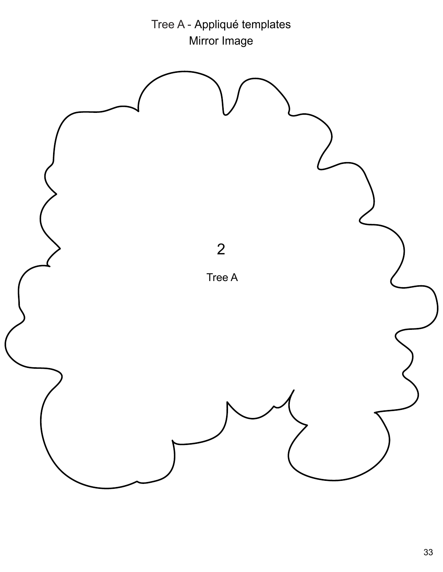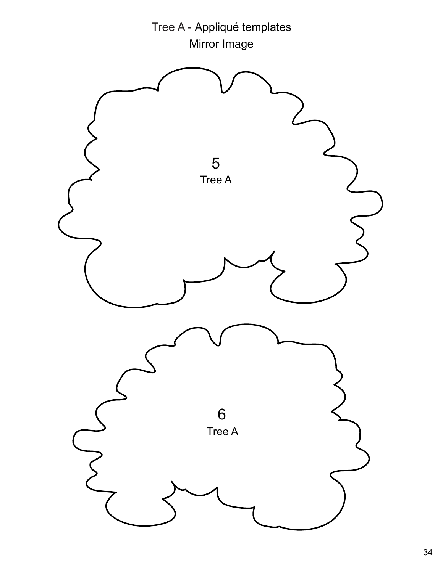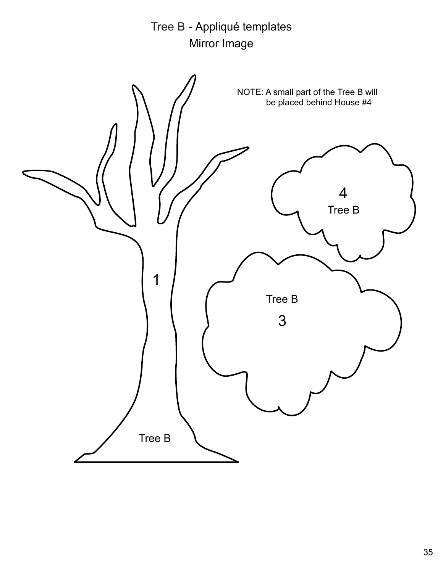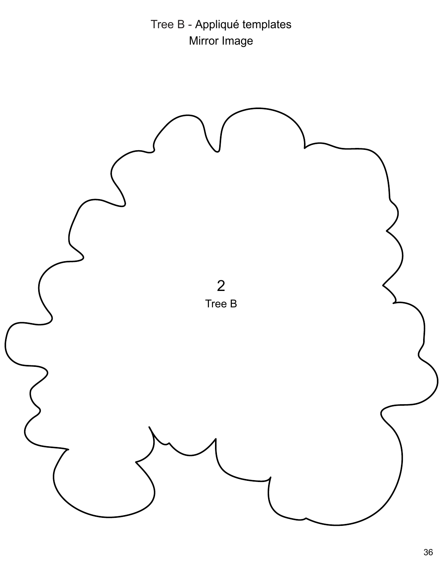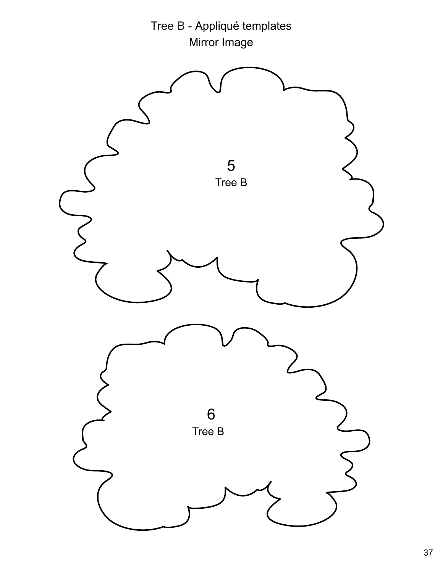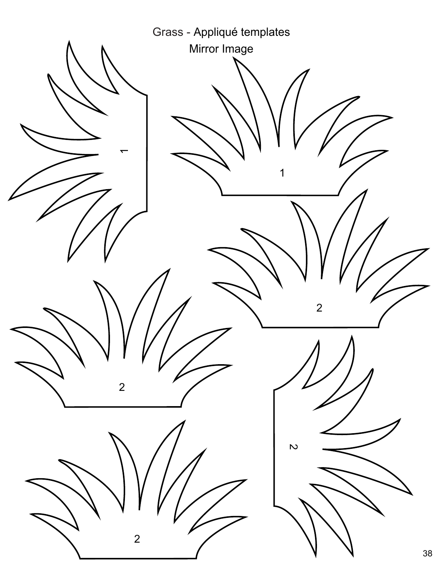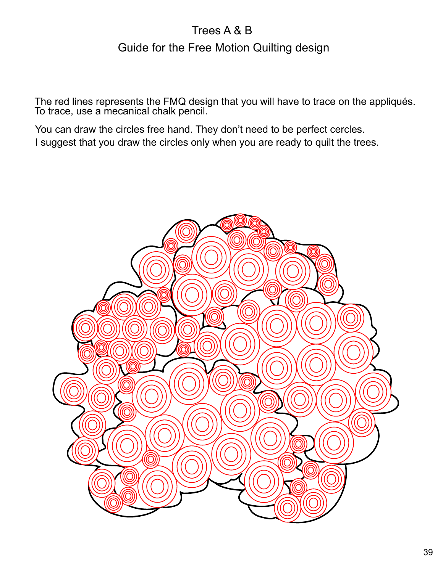### Trees A & B Guide for the Free Motion Quilting design

The red lines represents the FMQ design that you will have to trace on the appliqués. To trace, use a mecanical chalk pencil.

You can draw the circles free hand. They don't need to be perfect cercles. I suggest that you draw the circles only when you are ready to quilt the trees.

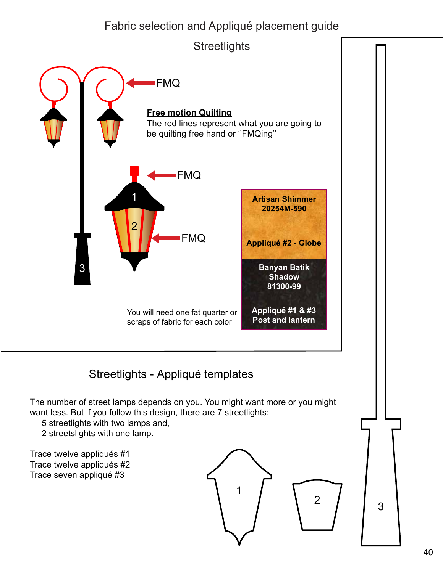### Fabric selection and Appliqué placement guide

**Streetlights** 

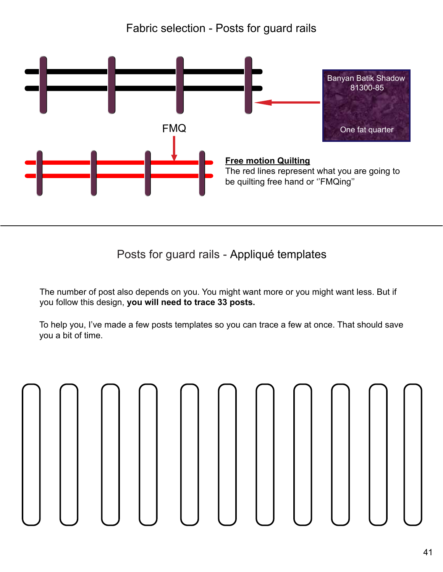### Fabric selection - Posts for guard rails



Posts for guard rails - Appliqué templates

The number of post also depends on you. You might want more or you might want less. But if you follow this design, **you will need to trace 33 posts.**

To help you, I've made a few posts templates so you can trace a few at once. That should save you a bit of time.

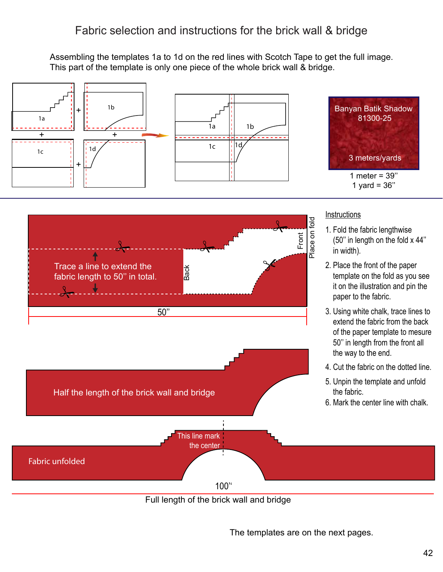### Fabric selection and instructions for the brick wall & bridge

Assembling the templates 1a to 1d on the red lines with Scotch Tape to get the full image. This part of the template is only one piece of the whole brick wall & bridge.







Full length of the brick wall and bridge

The templates are on the next pages.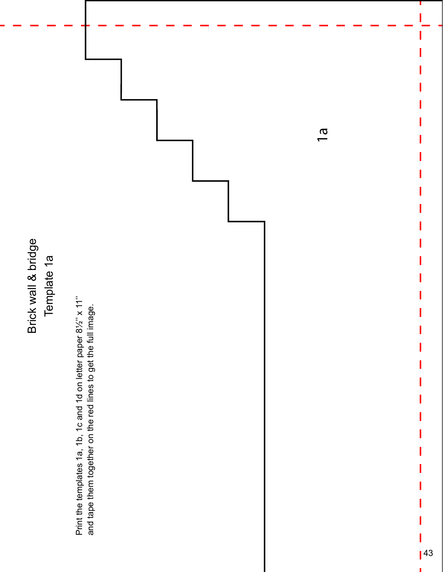### Brick wall & bridge<br>Template 1a Brick wall & bridge Template 1a

Print the templates 1a, 1b, 1c and 1d on letter paper  $8\frac{1}{2}$ " x 11"<br>and tape them together on the red lines to get the full image. Print the templates 1a, 1b, 1c and 1d on letter paper 8½'' x 11'' and tape them together on the red lines to get the full image.

<u>ե</u>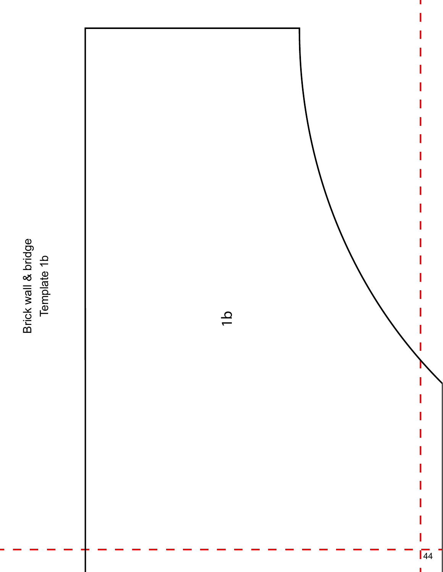



 $\mathbf{I}$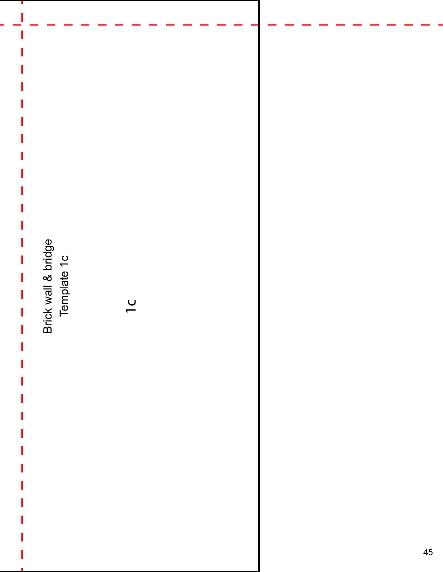Brick wall & bridge<br>Template 1c Brick wall & bridge Template 1c

I

 $\overline{\phantom{a}}$ 

 $\overline{\phantom{a}}$ 

 $\overline{\phantom{a}}$ 

Ï

ı

 $\overline{\phantom{0}}$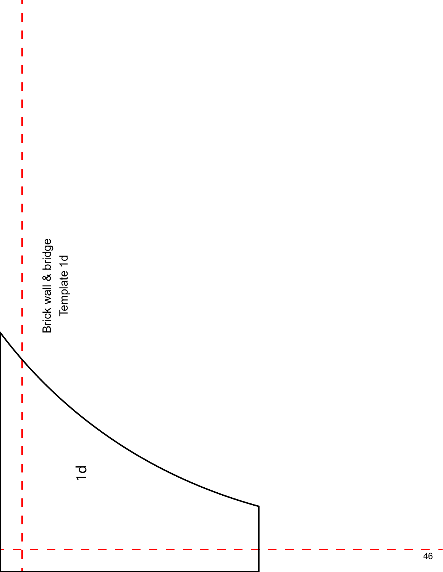